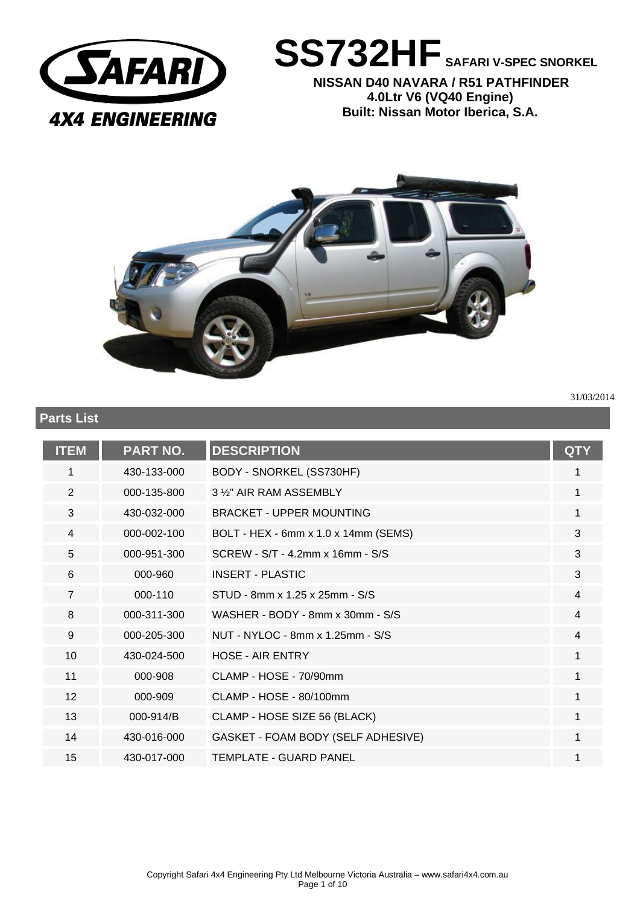

**SS732HF SAFARI V-SPEC SNORKEL**

**NISSAN D40 NAVARA / R51 PATHFINDER 4.0Ltr V6 (VQ40 Engine) Built: Nissan Motor Iberica, S.A.** 



**Parts List**

31/03/2014

| <b>ITEM</b>    | <b>PART NO.</b> | <b>DESCRIPTION</b>                   | <b>QTY</b> |
|----------------|-----------------|--------------------------------------|------------|
| 1              | 430-133-000     | BODY - SNORKEL (SS730HF)             | 1          |
| 2              | 000-135-800     | 3 %" AIR RAM ASSEMBLY                | 1          |
| 3              | 430-032-000     | <b>BRACKET - UPPER MOUNTING</b>      | 1          |
| $\overline{4}$ | 000-002-100     | BOLT - HEX - 6mm x 1.0 x 14mm (SEMS) | 3          |
| 5              | 000-951-300     | SCREW - S/T - 4.2mm x 16mm - S/S     | 3          |
| 6              | 000-960         | <b>INSERT - PLASTIC</b>              | 3          |
| $\overline{7}$ | 000-110         | STUD - 8mm x 1.25 x 25mm - S/S       | 4          |
| 8              | 000-311-300     | WASHER - BODY - 8mm x 30mm - S/S     | 4          |
| 9              | 000-205-300     | NUT - NYLOC - 8mm x 1.25mm - S/S     | 4          |
| 10             | 430-024-500     | <b>HOSE - AIR ENTRY</b>              | 1          |
| 11             | 000-908         | CLAMP - HOSE - 70/90mm               | 1          |
| 12             | 000-909         | CLAMP - HOSE - 80/100mm              | 1          |
| 13             | 000-914/B       | CLAMP - HOSE SIZE 56 (BLACK)         | 1          |
| 14             | 430-016-000     | GASKET - FOAM BODY (SELF ADHESIVE)   | 1          |
| 15             | 430-017-000     | TEMPLATE - GUARD PANEL               |            |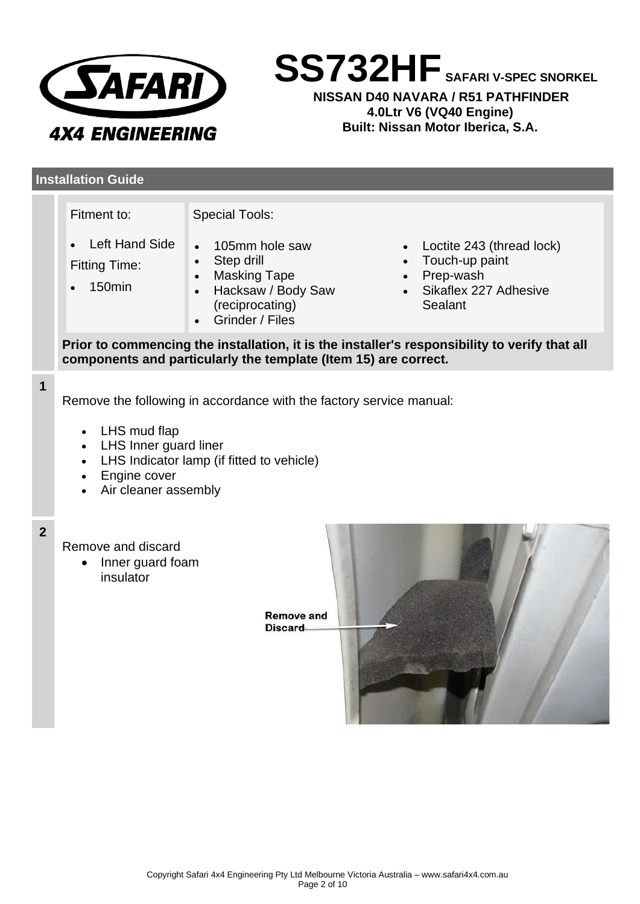

**SS732HF SAFARI V-SPEC SNORKEL**

**NISSAN D40 NAVARA / R51 PATHFINDER 4.0Ltr V6 (VQ40 Engine) Built: Nissan Motor Iberica, S.A.** 

# **Installation Guide**

**1**

| Fitment to:<br><b>Special Tools:</b>                                                                                                                                                              |                                                                                                                                                        |                                                                                                                                     |  |  |  |
|---------------------------------------------------------------------------------------------------------------------------------------------------------------------------------------------------|--------------------------------------------------------------------------------------------------------------------------------------------------------|-------------------------------------------------------------------------------------------------------------------------------------|--|--|--|
| <b>Left Hand Side</b><br><b>Fitting Time:</b><br>150 <sub>min</sub>                                                                                                                               | 105mm hole saw<br>Step drill<br>$\bullet$<br><b>Masking Tape</b><br>$\bullet$<br>Hacksaw / Body Saw<br>$\bullet$<br>(reciprocating)<br>Grinder / Files | Loctite 243 (thread lock)<br>$\bullet$<br>Touch-up paint<br>$\bullet$<br>Prep-wash<br>$\bullet$<br>Sikaflex 227 Adhesive<br>Sealant |  |  |  |
| Prior to commencing the installation, it is the installer's responsibility to verify that all<br>components and particularly the template (Item 15) are correct.                                  |                                                                                                                                                        |                                                                                                                                     |  |  |  |
| Remove the following in accordance with the factory service manual:<br>LHS mud flap<br>LHS Inner guard liner<br>LHS Indicator lamp (if fitted to vehicle)<br>Engine cover<br>Air cleaner assembly |                                                                                                                                                        |                                                                                                                                     |  |  |  |
| Remove and discard<br>Inner guard foam<br>$\bullet$<br>insulator<br><b>Remove and</b><br><b>Discard</b>                                                                                           |                                                                                                                                                        |                                                                                                                                     |  |  |  |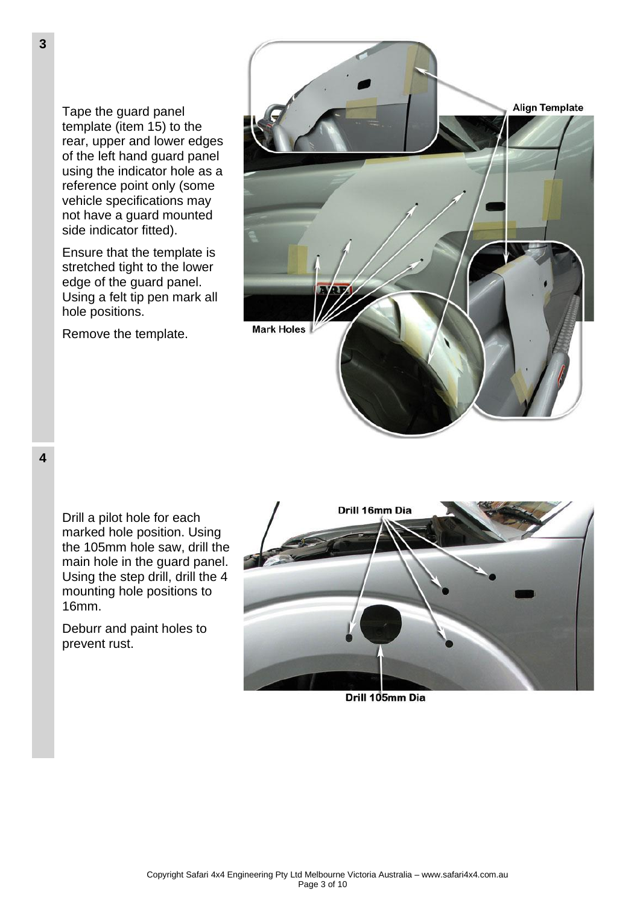Tape the guard panel template (item 15) to the rear, upper and lower edges of the left hand guard panel using the indicator hole as a reference point only (some vehicle specifications may not have a guard mounted side indicator fitted).

Ensure that the template is stretched tight to the lower edge of the guard panel. Using a felt tip pen mark all hole positions.

Remove the template.



**4**

Drill a pilot hole for each marked hole position. Using the 105mm hole saw, drill the main hole in the guard panel. Using the step drill, drill the 4 mounting hole positions to 16mm.

Deburr and paint holes to prevent rust.



Drill 105mm Dia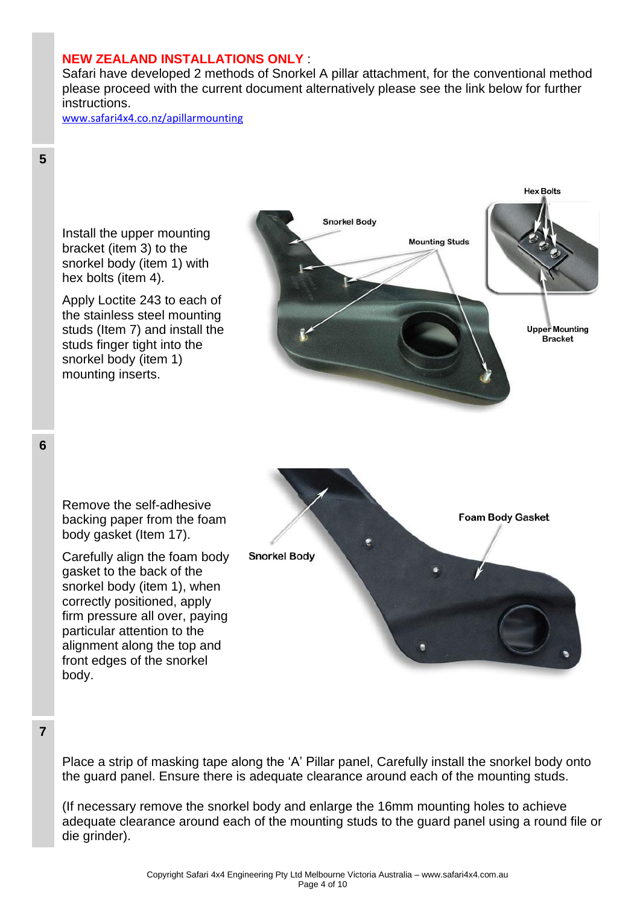## **NEW ZEALAND INSTALLATIONS ONLY** :

Safari have developed 2 methods of Snorkel A pillar attachment, for the conventional method please proceed with the current document alternatively please see the link below for further instructions.

[www.safari4x4.co.nz/apillarmounting](http://www.safari4x4.co.nz/apillarmounting)





Place a strip of masking tape along the 'A' Pillar panel, Carefully install the snorkel body onto the guard panel. Ensure there is adequate clearance around each of the mounting studs.

(If necessary remove the snorkel body and enlarge the 16mm mounting holes to achieve adequate clearance around each of the mounting studs to the guard panel using a round file or die grinder).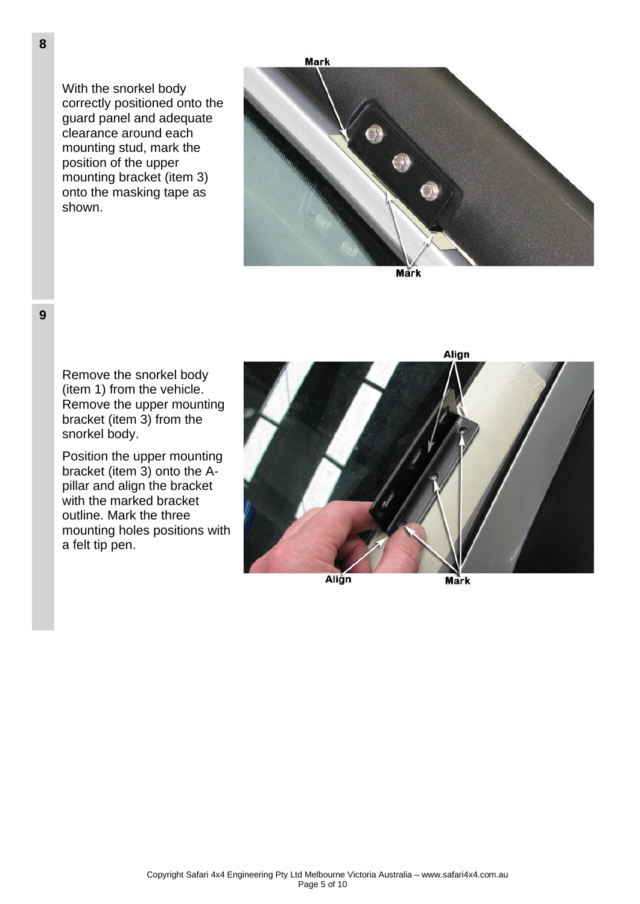With the snorkel body correctly positioned onto the guard panel and adequate clearance around each mounting stud, mark the position of the upper mounting bracket (item 3) onto the masking tape as shown.



Mark

Remove the snorkel body (item 1) from the vehicle. Remove the upper mounting bracket (item 3) from the snorkel body.

Position the upper mounting bracket (item 3) onto the Apillar and align the bracket with the marked bracket outline. Mark the three mounting holes positions with a felt tip pen.



Align

Mark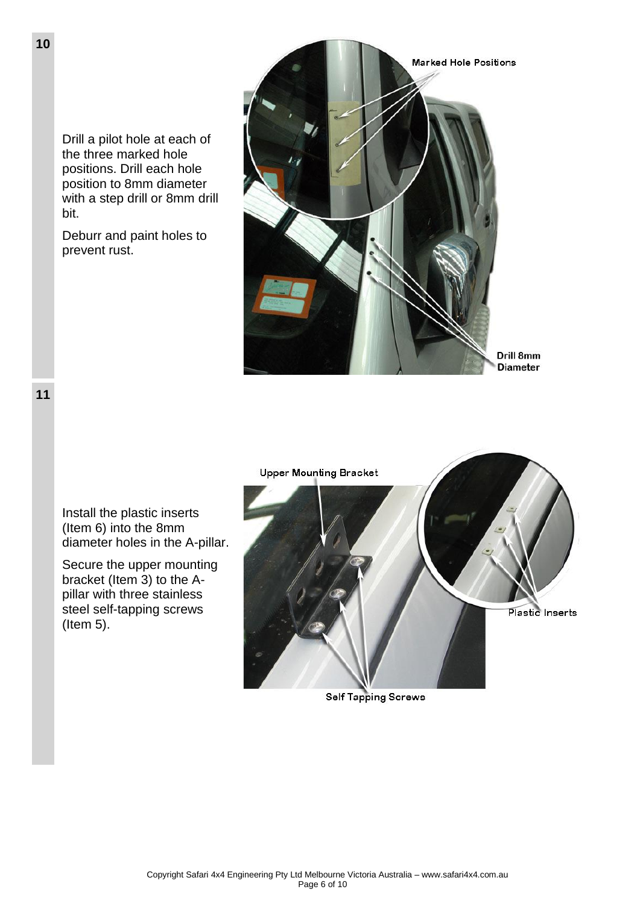Drill a pilot hole at each of the three marked hole positions. Drill each hole position to 8mm diameter with a step drill or 8mm drill bit.

Deburr and paint holes to prevent rust.





Install the plastic inserts (Item 6) into the 8mm diameter holes in the A-pillar.

Secure the upper mounting bracket (Item 3) to the Apillar with three stainless steel self-tapping screws (Item 5).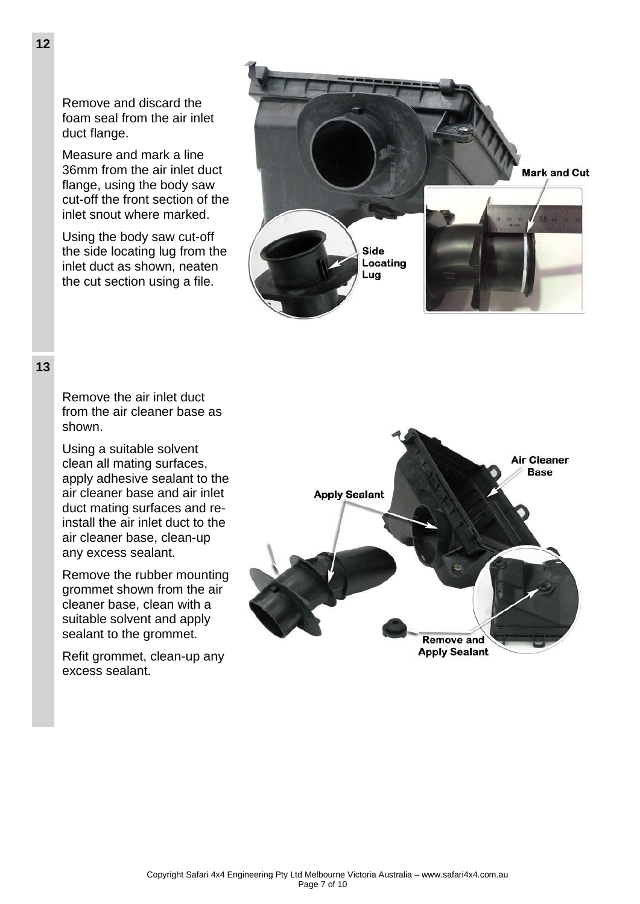Remove and discard the foam seal from the air inlet duct flange.

Measure and mark a line 36mm from the air inlet duct flange, using the body saw cut-off the front section of the inlet snout where marked.

Using the body saw cut-off the side locating lug from the inlet duct as shown, neaten the cut section using a file.



### **13**

Remove the air inlet duct from the air cleaner base as shown.

Using a suitable solvent clean all mating surfaces, apply adhesive sealant to the air cleaner base and air inlet duct mating surfaces and reinstall the air inlet duct to the air cleaner base, clean-up any excess sealant.

Remove the rubber mounting grommet shown from the air cleaner base, clean with a suitable solvent and apply sealant to the grommet.

Refit grommet, clean-up any excess sealant.

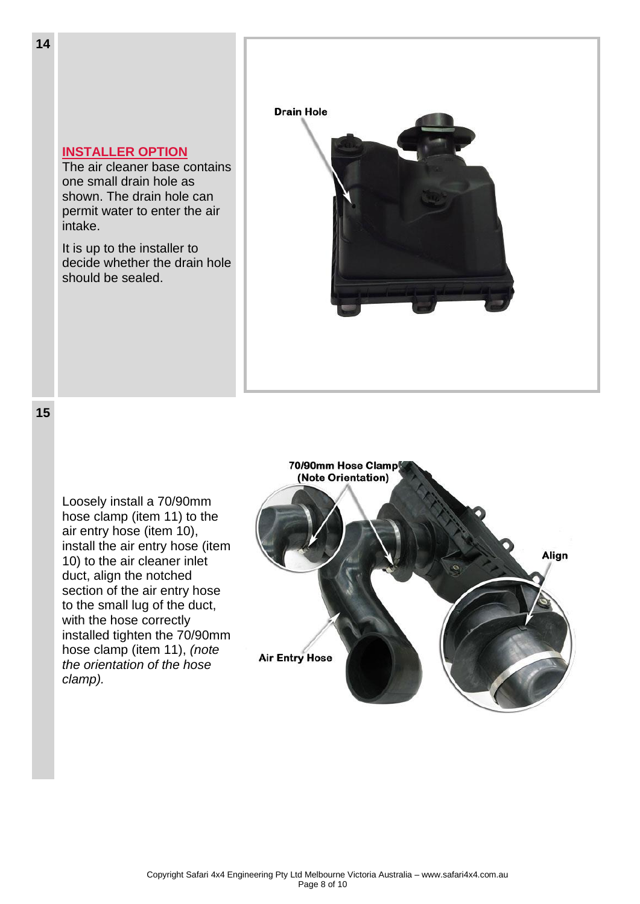

**15**

Loosely install a 70/90mm hose clamp (item 11) to the air entry hose (item 10), install the air entry hose (item 10) to the air cleaner inlet duct, align the notched section of the air entry hose to the small lug of the duct, with the hose correctly installed tighten the 70/90mm hose clamp (item 11), *(note the orientation of the hose clamp).*

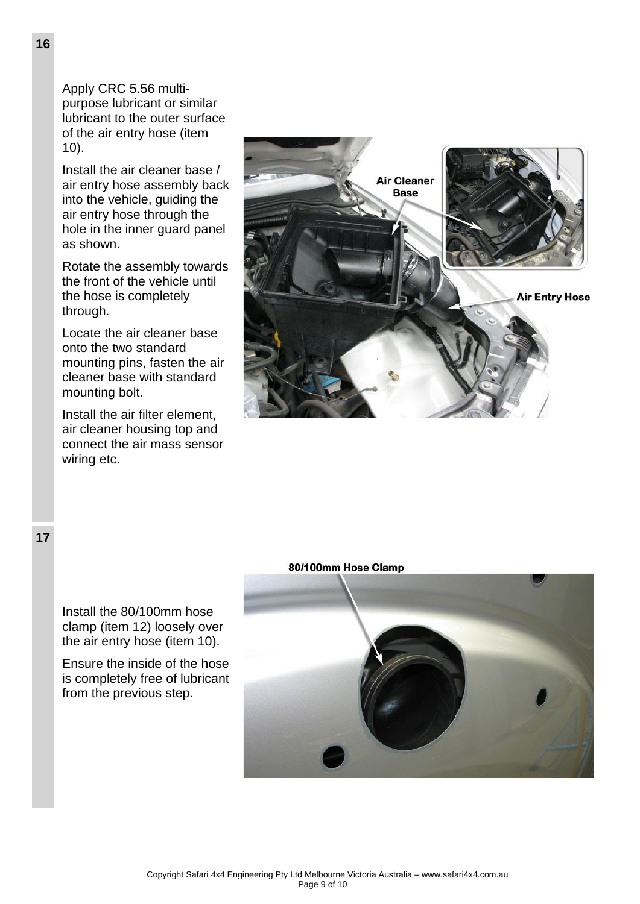Apply CRC 5.56 multipurpose lubricant or similar lubricant to the outer surface of the air entry hose (item 10).

Install the air cleaner base / air entry hose assembly back into the vehicle, guiding the air entry hose through the hole in the inner guard panel as shown.

Rotate the assembly towards the front of the vehicle until the hose is completely through.

Locate the air cleaner base onto the two standard mounting pins, fasten the air cleaner base with standard mounting bolt.

Install the air filter element, air cleaner housing top and connect the air mass sensor wiring etc.



80/100mm Hose Clamp



Install the 80/100mm hose clamp (item 12) loosely over the air entry hose (item 10).

Ensure the inside of the hose is completely free of lubricant from the previous step.